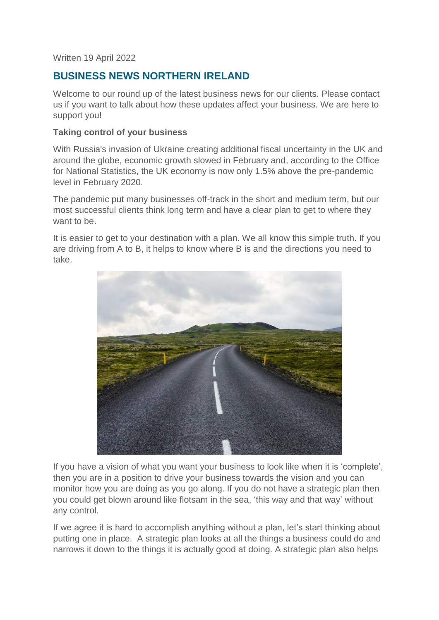Written 19 April 2022

# **BUSINESS NEWS NORTHERN IRELAND**

Welcome to our round up of the latest business news for our clients. Please contact us if you want to talk about how these updates affect your business. We are here to support you!

### **Taking control of your business**

With Russia's invasion of Ukraine creating additional fiscal uncertainty in the UK and around the globe, economic growth slowed in February and, according to the Office for National Statistics, the UK economy is now only 1.5% above the pre-pandemic level in February 2020.

The pandemic put many businesses off-track in the short and medium term, but our most successful clients think long term and have a clear plan to get to where they want to be.

It is easier to get to your destination with a plan. We all know this simple truth. If you are driving from A to B, it helps to know where B is and the directions you need to take.



If you have a vision of what you want your business to look like when it is 'complete', then you are in a position to drive your business towards the vision and you can monitor how you are doing as you go along. If you do not have a strategic plan then you could get blown around like flotsam in the sea, 'this way and that way' without any control.

If we agree it is hard to accomplish anything without a plan, let's start thinking about putting one in place. A strategic plan looks at all the things a business could do and narrows it down to the things it is actually good at doing. A strategic plan also helps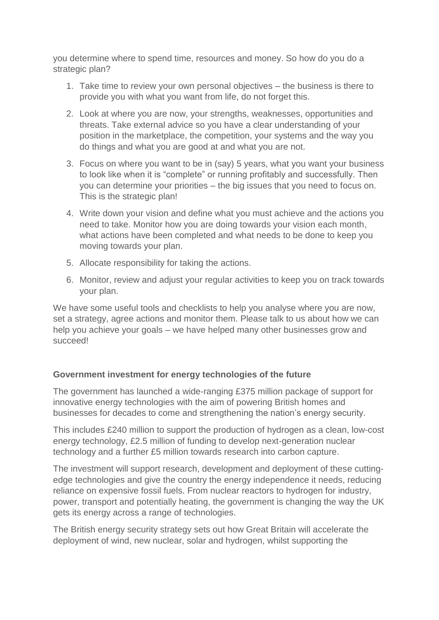you determine where to spend time, resources and money. So how do you do a strategic plan?

- 1. Take time to review your own personal objectives the business is there to provide you with what you want from life, do not forget this.
- 2. Look at where you are now, your strengths, weaknesses, opportunities and threats. Take external advice so you have a clear understanding of your position in the marketplace, the competition, your systems and the way you do things and what you are good at and what you are not.
- 3. Focus on where you want to be in (say) 5 years, what you want your business to look like when it is "complete" or running profitably and successfully. Then you can determine your priorities – the big issues that you need to focus on. This is the strategic plan!
- 4. Write down your vision and define what you must achieve and the actions you need to take. Monitor how you are doing towards your vision each month, what actions have been completed and what needs to be done to keep you moving towards your plan.
- 5. Allocate responsibility for taking the actions.
- 6. Monitor, review and adjust your regular activities to keep you on track towards your plan.

We have some useful tools and checklists to help you analyse where you are now, set a strategy, agree actions and monitor them. Please talk to us about how we can help you achieve your goals – we have helped many other businesses grow and succeed!

## **Government investment for energy technologies of the future**

The government has launched a wide-ranging £375 million package of support for innovative energy technologies with the aim of powering British homes and businesses for decades to come and strengthening the nation's energy security.

This includes £240 million to support the production of hydrogen as a clean, low-cost energy technology, £2.5 million of funding to develop next-generation nuclear technology and a further £5 million towards research into carbon capture.

The investment will support research, development and deployment of these cuttingedge technologies and give the country the energy independence it needs, reducing reliance on expensive fossil fuels. From nuclear reactors to hydrogen for industry, power, transport and potentially heating, the government is changing the way the UK gets its energy across a range of technologies.

The British energy security strategy sets out how Great Britain will accelerate the deployment of wind, new nuclear, solar and hydrogen, whilst supporting the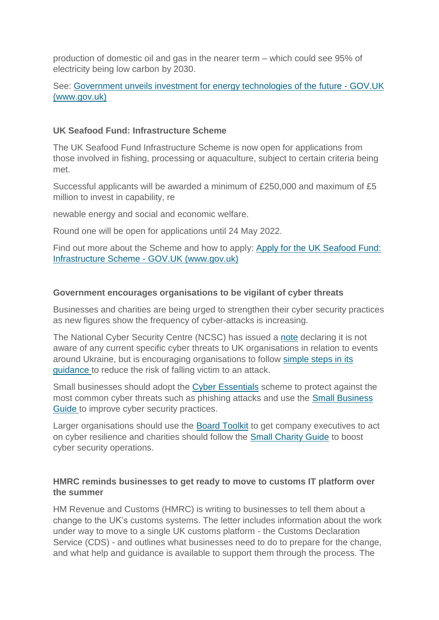production of domestic oil and gas in the nearer term – which could see 95% of electricity being low carbon by 2030.

## See: [Government unveils investment for energy technologies of the](https://www.gov.uk/government/news/government-unveils-investment-for-energy-technologies-of-the-future) future - GOV.UK [\(www.gov.uk\)](https://www.gov.uk/government/news/government-unveils-investment-for-energy-technologies-of-the-future)

### **UK Seafood Fund: Infrastructure Scheme**

The UK Seafood Fund Infrastructure Scheme is now open for applications from those involved in fishing, processing or aquaculture, subject to certain criteria being met.

Successful applicants will be awarded a minimum of £250,000 and maximum of £5 million to invest in capability, re

newable energy and social and economic welfare.

Round one will be open for applications until 24 May 2022.

Find out more about the Scheme and how to apply: [Apply for the UK Seafood Fund:](https://www.gov.uk/guidance/uk-seafood-fund-infrastructure-scheme?share=email)  [Infrastructure Scheme -](https://www.gov.uk/guidance/uk-seafood-fund-infrastructure-scheme?share=email) GOV.UK (www.gov.uk)

### **Government encourages organisations to be vigilant of cyber threats**

Businesses and charities are being urged to strengthen their cyber security practices as new figures show the frequency of cyber-attacks is increasing.

The National Cyber Security Centre (NCSC) has issued a [note](https://www.ncsc.gov.uk/news/organisations-urged-to-bolster-defences) declaring it is not aware of any current specific cyber threats to UK organisations in relation to events around Ukraine, but is encouraging organisations to follow [simple steps in its](https://www.ncsc.gov.uk/guidance/actions-to-take-when-the-cyber-threat-is-heightened)  [guidance](https://www.ncsc.gov.uk/guidance/actions-to-take-when-the-cyber-threat-is-heightened) to reduce the risk of falling victim to an attack.

Small businesses should adopt the [Cyber Essentials](https://www.ncsc.gov.uk/cyberessentials/overview) scheme to protect against the most common cyber threats such as phishing attacks and use the [Small Business](https://www.ncsc.gov.uk/collection/small-business-guide)  [Guide](https://www.ncsc.gov.uk/collection/small-business-guide) to improve cyber security practices.

Larger organisations should use the [Board Toolkit](https://www.ncsc.gov.uk/collection/board-toolkit) to get company executives to act on cyber resilience and charities should follow the [Small Charity Guide](https://www.ncsc.gov.uk/collection/charity) to boost cyber security operations.

### **HMRC reminds businesses to get ready to move to customs IT platform over the summer**

HM Revenue and Customs (HMRC) is writing to businesses to tell them about a change to the UK's customs systems. The letter includes information about the work under way to move to a single UK customs platform - the Customs Declaration Service (CDS) - and outlines what businesses need to do to prepare for the change, and what help and guidance is available to support them through the process. The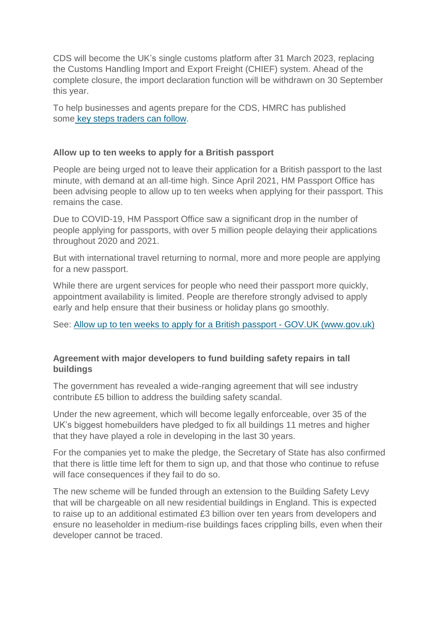CDS will become the UK's single customs platform after 31 March 2023, replacing the Customs Handling Import and Export Freight (CHIEF) system. Ahead of the complete closure, the import declaration function will be withdrawn on 30 September this year.

To help businesses and agents prepare for the CDS, HMRC has published some [key steps traders can follow.](https://www.gov.uk/guidance/how-hmrc-will-introduce-the-customs-declaration-service)

### **Allow up to ten weeks to apply for a British passport**

People are being urged not to leave their application for a British passport to the last minute, with demand at an all-time high. Since April 2021, HM Passport Office has been advising people to allow up to ten weeks when applying for their passport. This remains the case.

Due to COVID-19, HM Passport Office saw a significant drop in the number of people applying for passports, with over 5 million people delaying their applications throughout 2020 and 2021.

But with international travel returning to normal, more and more people are applying for a new passport.

While there are urgent services for people who need their passport more quickly, appointment availability is limited. People are therefore strongly advised to apply early and help ensure that their business or holiday plans go smoothly.

See: [Allow up to ten weeks to apply for a British passport -](https://www.gov.uk/government/news/allow-up-to-ten-weeks-to-apply-for-a-british-passport) GOV.UK (www.gov.uk)

### **Agreement with major developers to fund building safety repairs in tall buildings**

The government has revealed a wide-ranging agreement that will see industry contribute £5 billion to address the building safety scandal.

Under the new agreement, which will become legally enforceable, over 35 of the UK's biggest homebuilders have pledged to fix all buildings 11 metres and higher that they have played a role in developing in the last 30 years.

For the companies yet to make the pledge, the Secretary of State has also confirmed that there is little time left for them to sign up, and that those who continue to refuse will face consequences if they fail to do so.

The new scheme will be funded through an extension to the Building Safety Levy that will be chargeable on all new residential buildings in England. This is expected to raise up to an additional estimated £3 billion over ten years from developers and ensure no leaseholder in medium-rise buildings faces crippling bills, even when their developer cannot be traced.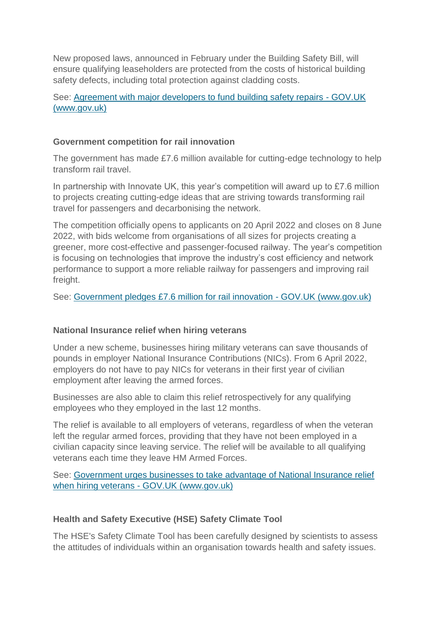New proposed laws, announced in February under the Building Safety Bill, will ensure qualifying leaseholders are protected from the costs of historical building safety defects, including total protection against cladding costs.

See: [Agreement with major developers to fund building safety repairs -](https://www.gov.uk/government/news/agreement-with-major-developers-to-fund-building-safety-repairs) GOV.UK [\(www.gov.uk\)](https://www.gov.uk/government/news/agreement-with-major-developers-to-fund-building-safety-repairs)

### **Government competition for rail innovation**

The government has made £7.6 million available for cutting-edge technology to help transform rail travel.

In partnership with Innovate UK, this year's competition will award up to £7.6 million to projects creating cutting-edge ideas that are striving towards transforming rail travel for passengers and decarbonising the network.

The competition officially opens to applicants on 20 April 2022 and closes on 8 June 2022, with bids welcome from organisations of all sizes for projects creating a greener, more cost-effective and passenger-focused railway. The year's competition is focusing on technologies that improve the industry's cost efficiency and network performance to support a more reliable railway for passengers and improving rail freight.

See: [Government pledges £7.6 million for rail innovation -](https://www.gov.uk/government/news/government-pledges-76-million-for-rail-innovation) GOV.UK (www.gov.uk)

#### **National Insurance relief when hiring veterans**

Under a new scheme, businesses hiring military veterans can save thousands of pounds in employer National Insurance Contributions (NICs). From 6 April 2022, employers do not have to pay NICs for veterans in their first year of civilian employment after leaving the armed forces.

Businesses are also able to claim this relief retrospectively for any qualifying employees who they employed in the last 12 months.

The relief is available to all employers of veterans, regardless of when the veteran left the regular armed forces, providing that they have not been employed in a civilian capacity since leaving service. The relief will be available to all qualifying veterans each time they leave HM Armed Forces.

See: [Government urges businesses to take advantage of National Insurance relief](https://www.gov.uk/government/news/government-urges-businesses-to-take-advantage-of-national-insurance-relief-when-hiring-veterans)  when hiring veterans - [GOV.UK \(www.gov.uk\)](https://www.gov.uk/government/news/government-urges-businesses-to-take-advantage-of-national-insurance-relief-when-hiring-veterans)

## **Health and Safety Executive (HSE) Safety Climate Tool**

The HSE's Safety Climate Tool has been carefully designed by scientists to assess the attitudes of individuals within an organisation towards health and safety issues.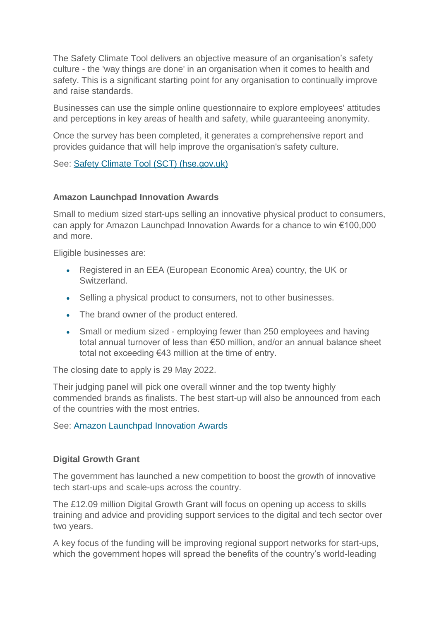The Safety Climate Tool delivers an objective measure of an organisation's safety culture - the 'way things are done' in an organisation when it comes to health and safety. This is a significant starting point for any organisation to continually improve and raise standards.

Businesses can use the simple online questionnaire to explore employees' attitudes and perceptions in key areas of health and safety, while guaranteeing anonymity.

Once the survey has been completed, it generates a comprehensive report and provides guidance that will help improve the organisation's safety culture.

See: [Safety Climate Tool \(SCT\) \(hse.gov.uk\)](https://books.hse.gov.uk/Safety-Climate-Tool?utm_source=govdelivery&utm_medium=email&utm_campaign=hse-solutions&utm_term=sct-1&utm_content=construction-mar-22)

### **Amazon Launchpad Innovation Awards**

Small to medium sized start-ups selling an innovative physical product to consumers, can apply for Amazon Launchpad Innovation Awards for a chance to win €100,000 and more.

Eligible businesses are:

- Registered in an EEA (European Economic Area) country, the UK or Switzerland.
- Selling a physical product to consumers, not to other businesses.
- The brand owner of the product entered.
- Small or medium sized employing fewer than 250 employees and having total annual turnover of less than €50 million, and/or an annual balance sheet total not exceeding €43 million at the time of entry.

The closing date to apply is 29 May 2022.

Their judging panel will pick one overall winner and the top twenty highly commended brands as finalists. The best start-up will also be announced from each of the countries with the most entries.

See: [Amazon Launchpad](https://sell.amazon.co.uk/programmes/launchpad/innovation-awards?ld=SPUKALPLGN22_ALIA_ADEM_EN_Email_Newsletter_1&_cldee=DwvrRnnBDMbJ6x1Krkhr7uBN99UVIQO_zdepBeUYKakyGQZRCxuIE_oiKsXvGGbp&recipientid=lead-998a34a01cb9e911a97e002248072abd-b22f140dc7af4a6da2aa9b0d016a3834&esid=08500e08-d9b4-ec11-983f-6045bd1035eb) Innovation Awards

## **Digital Growth Grant**

The government has launched a new competition to boost the growth of innovative tech start-ups and scale-ups across the country.

The £12.09 million Digital Growth Grant will focus on opening up access to skills training and advice and providing support services to the digital and tech sector over two years.

A key focus of the funding will be improving regional support networks for start-ups, which the government hopes will spread the benefits of the country's world-leading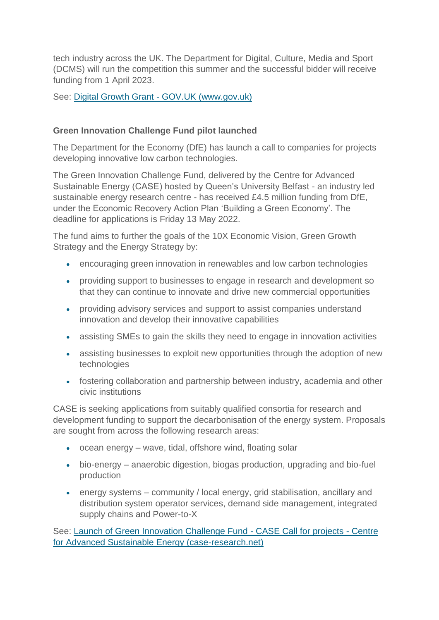tech industry across the UK. The Department for Digital, Culture, Media and Sport (DCMS) will run the competition this summer and the successful bidder will receive funding from 1 April 2023.

See: Digital Growth Grant - [GOV.UK \(www.gov.uk\)](https://www.gov.uk/guidance/digital-growth-grant)

## **Green Innovation Challenge Fund pilot launched**

The Department for the Economy (DfE) has launch a call to companies for projects developing innovative low carbon technologies.

The Green Innovation Challenge Fund, delivered by the Centre for Advanced Sustainable Energy (CASE) hosted by Queen's University Belfast - an industry led sustainable energy research centre - has received £4.5 million funding from DfE, under the Economic Recovery Action Plan 'Building a Green Economy'. The deadline for applications is Friday 13 May 2022.

The fund aims to further the goals of the 10X Economic Vision, Green Growth Strategy and the Energy Strategy by:

- encouraging green innovation in renewables and low carbon technologies
- providing support to businesses to engage in research and development so that they can continue to innovate and drive new commercial opportunities
- providing advisory services and support to assist companies understand innovation and develop their innovative capabilities
- assisting SMEs to gain the skills they need to engage in innovation activities
- assisting businesses to exploit new opportunities through the adoption of new technologies
- fostering collaboration and partnership between industry, academia and other civic institutions

CASE is seeking applications from suitably qualified consortia for research and development funding to support the decarbonisation of the energy system. Proposals are sought from across the following research areas:

- ocean energy wave, tidal, offshore wind, floating solar
- bio-energy anaerobic digestion, biogas production, upgrading and bio-fuel production
- energy systems community / local energy, grid stabilisation, ancillary and distribution system operator services, demand side management, integrated supply chains and Power-to-X

See: [Launch of Green Innovation Challenge Fund -](https://www.case-research.net/launch-of-green-innovation-challenge-fund-case-call-for-projects/) CASE Call for projects - Centre [for Advanced Sustainable Energy \(case-research.net\)](https://www.case-research.net/launch-of-green-innovation-challenge-fund-case-call-for-projects/)